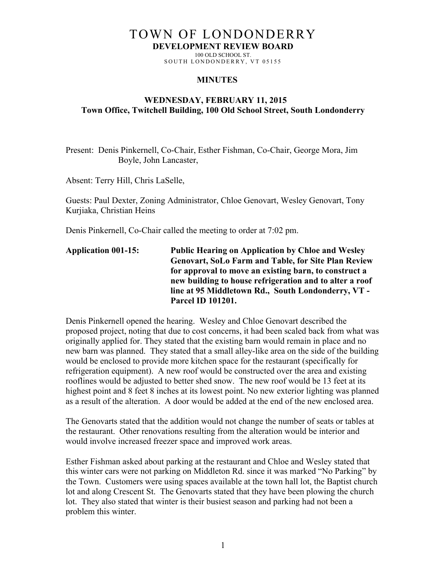# TOWN OF LONDONDERRY

**DEVELOPMENT REVIEW BOARD**

100 OLD SCHOOL ST. SOUTH LONDONDERRY, VT 05155

## **MINUTES**

## **WEDNESDAY, FEBRUARY 11, 2015 Town Office, Twitchell Building, 100 Old School Street, South Londonderry**

Present: Denis Pinkernell, Co-Chair, Esther Fishman, Co-Chair, George Mora, Jim Boyle, John Lancaster,

Absent: Terry Hill, Chris LaSelle,

Guests: Paul Dexter, Zoning Administrator, Chloe Genovart, Wesley Genovart, Tony Kurjiaka, Christian Heins

Denis Pinkernell, Co-Chair called the meeting to order at 7:02 pm.

**Application 001-15: Public Hearing on Application by Chloe and Wesley Genovart, SoLo Farm and Table, for Site Plan Review for approval to move an existing barn, to construct a new building to house refrigeration and to alter a roof line at 95 Middletown Rd., South Londonderry, VT - Parcel ID 101201.**

Denis Pinkernell opened the hearing. Wesley and Chloe Genovart described the proposed project, noting that due to cost concerns, it had been scaled back from what was originally applied for. They stated that the existing barn would remain in place and no new barn was planned. They stated that a small alley-like area on the side of the building would be enclosed to provide more kitchen space for the restaurant (specifically for refrigeration equipment). A new roof would be constructed over the area and existing rooflines would be adjusted to better shed snow. The new roof would be 13 feet at its highest point and 8 feet 8 inches at its lowest point. No new exterior lighting was planned as a result of the alteration. A door would be added at the end of the new enclosed area.

The Genovarts stated that the addition would not change the number of seats or tables at the restaurant. Other renovations resulting from the alteration would be interior and would involve increased freezer space and improved work areas.

Esther Fishman asked about parking at the restaurant and Chloe and Wesley stated that this winter cars were not parking on Middleton Rd. since it was marked "No Parking" by the Town. Customers were using spaces available at the town hall lot, the Baptist church lot and along Crescent St. The Genovarts stated that they have been plowing the church lot. They also stated that winter is their busiest season and parking had not been a problem this winter.